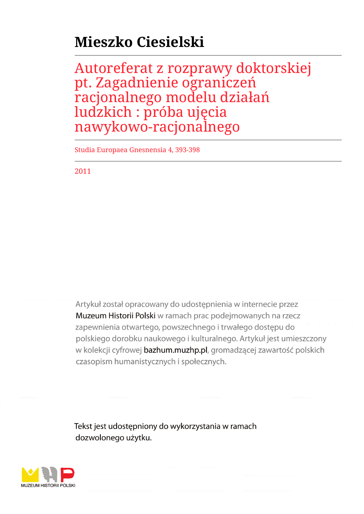## **Mieszko Ciesielski**

Autoreferat z rozprawy doktorskiej pt. Zagadnienie ograniczeń racjonalnego modelu działań ludzkich : próba ujęcia nawykowo-racjonalnego

Studia Europaea Gnesnensia 4, 393-398

2011

Artykuł został opracowany do udostępnienia w internecie przez Muzeum Historii Polski w ramach prac podejmowanych na rzecz zapewnienia otwartego, powszechnego i trwałego dostępu do polskiego dorobku naukowego i kulturalnego. Artykuł jest umieszczony w kolekcji cyfrowej bazhum.muzhp.pl, gromadzącej zawartość polskich czasopism humanistycznych i społecznych.

Tekst jest udostępniony do wykorzystania w ramach dozwolonego użytku.

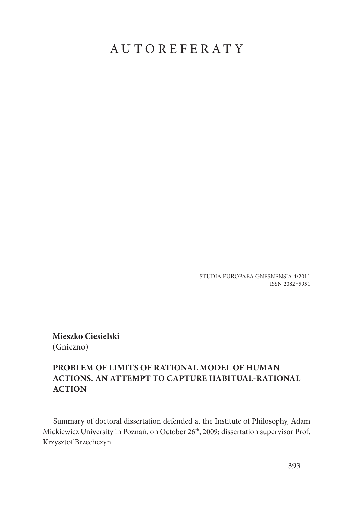## AUTOREFERATY

STUDIA EUROPAEA GNESNENSIA 4/2011 ISSN 2082–5951

**Mieszko Ciesielski** (Gniezno)

## **PROBLEM OF LIMITS OF RATIONAL MODEL OF HUMAN ACTIONS. AN ATTEMPT TO CAPTURE HABITUAL-RATIONAL ACTION**

Summary of doctoral dissertation defended at the Institute of Philosophy, Adam Mickiewicz University in Poznań, on October 26<sup>th</sup>, 2009; dissertation supervisor Prof. Krzysztof Brzechczyn.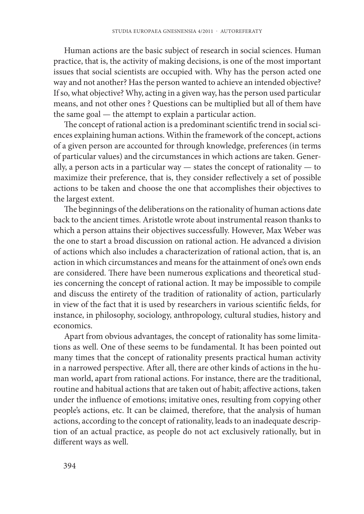Human actions are the basic subject of research in social sciences. Human practice, that is, the activity of making decisions, is one of the most important issues that social scientists are occupied with. Why has the person acted one way and not another? Has the person wanted to achieve an intended objective? If so, what objective? Why, acting in a given way, has the person used particular means, and not other ones ? Questions can be multiplied but all of them have the same goal — the attempt to explain a particular action.

The concept of rational action is a predominant scientific trend in social sciences explaining human actions. Within the framework of the concept, actions of a given person are accounted for through knowledge, preferences (in terms of particular values) and the circumstances in which actions are taken. Generally, a person acts in a particular way — states the concept of rationality — to maximize their preference, that is, they consider reflectively a set of possible actions to be taken and choose the one that accomplishes their objectives to the largest extent.

The beginnings of the deliberations on the rationality of human actions date back to the ancient times. Aristotle wrote about instrumental reason thanks to which a person attains their objectives successfully. However, Max Weber was the one to start a broad discussion on rational action. He advanced a division of actions which also includes a characterization of rational action, that is, an action in which circumstances and means for the attainment of one's own ends are considered. There have been numerous explications and theoretical studies concerning the concept of rational action. It may be impossible to compile and discuss the entirety of the tradition of rationality of action, particularly in view of the fact that it is used by researchers in various scientific fields, for instance, in philosophy, sociology, anthropology, cultural studies, history and economics.

Apart from obvious advantages, the concept of rationality has some limitations as well. One of these seems to be fundamental. It has been pointed out many times that the concept of rationality presents practical human activity in a narrowed perspective. After all, there are other kinds of actions in the human world, apart from rational actions. For instance, there are the traditional, routine and habitual actions that are taken out of habit; affective actions, taken under the influence of emotions; imitative ones, resulting from copying other people's actions, etc. It can be claimed, therefore, that the analysis of human actions, according to the concept of rationality, leads to an inadequate description of an actual practice, as people do not act exclusively rationally, but in different ways as well.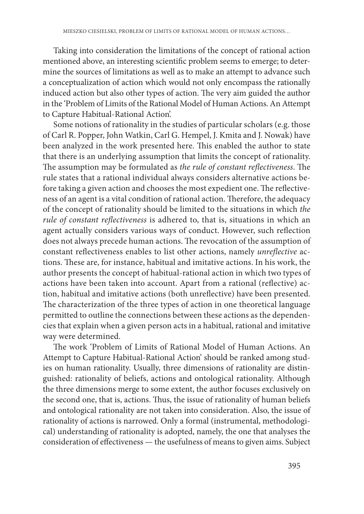Taking into consideration the limitations of the concept of rational action mentioned above, an interesting scientific problem seems to emerge; to determine the sources of limitations as well as to make an attempt to advance such a conceptualization of action which would not only encompass the rationally induced action but also other types of action. The very aim guided the author in the 'Problem of Limits of the Rational Model of Human Actions. An Attempt to Capture Habitual-Rational Action'.

Some notions of rationality in the studies of particular scholars (e.g. those of Carl R. Popper, John Watkin, Carl G. Hempel, J. Kmita and J. Nowak) have been analyzed in the work presented here. This enabled the author to state that there is an underlying assumption that limits the concept of rationality. The assumption may be formulated as *the rule of constant reflectiveness*. The rule states that a rational individual always considers alternative actions before taking a given action and chooses the most expedient one. The reflectiveness of an agent is a vital condition of rational action. Therefore, the adequacy of the concept of rationality should be limited to the situations in which *the rule of constant reflectiveness* is adhered to, that is, situations in which an agent actually considers various ways of conduct. However, such reflection does not always precede human actions. The revocation of the assumption of constant reflectiveness enables to list other actions, namely *unreflective* actions. These are, for instance, habitual and imitative actions. In his work, the author presents the concept of habitual-rational action in which two types of actions have been taken into account. Apart from a rational (reflective) action, habitual and imitative actions (both unreflective) have been presented. The characterization of the three types of action in one theoretical language permitted to outline the connections between these actions as the dependencies that explain when a given person acts in a habitual, rational and imitative way were determined.

The work 'Problem of Limits of Rational Model of Human Actions. An Attempt to Capture Habitual-Rational Action' should be ranked among studies on human rationality. Usually, three dimensions of rationality are distinguished: rationality of beliefs, actions and ontological rationality. Although the three dimensions merge to some extent, the author focuses exclusively on the second one, that is, actions. Thus, the issue of rationality of human beliefs and ontological rationality are not taken into consideration. Also, the issue of rationality of actions is narrowed. Only a formal (instrumental, methodological) understanding of rationality is adopted, namely, the one that analyses the consideration of effectiveness — the usefulness of means to given aims. Subject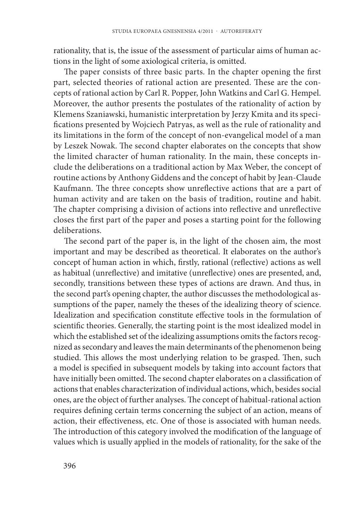rationality, that is, the issue of the assessment of particular aims of human actions in the light of some axiological criteria, is omitted.

The paper consists of three basic parts. In the chapter opening the first part, selected theories of rational action are presented. These are the concepts of rational action by Carl R. Popper, John Watkins and Carl G. Hempel. Moreover, the author presents the postulates of the rationality of action by Klemens Szaniawski, humanistic interpretation by Jerzy Kmita and its specifications presented by Wojciech Patryas, as well as the rule of rationality and its limitations in the form of the concept of non-evangelical model of a man by Leszek Nowak. The second chapter elaborates on the concepts that show the limited character of human rationality. In the main, these concepts include the deliberations on a traditional action by Max Weber, the concept of routine actions by Anthony Giddens and the concept of habit by Jean-Claude Kaufmann. The three concepts show unreflective actions that are a part of human activity and are taken on the basis of tradition, routine and habit. The chapter comprising a division of actions into reflective and unreflective closes the first part of the paper and poses a starting point for the following deliberations.

The second part of the paper is, in the light of the chosen aim, the most important and may be described as theoretical. It elaborates on the author's concept of human action in which, firstly, rational (reflective) actions as well as habitual (unreflective) and imitative (unreflective) ones are presented, and, secondly, transitions between these types of actions are drawn. And thus, in the second part's opening chapter, the author discusses the methodological assumptions of the paper, namely the theses of the idealizing theory of science. Idealization and specification constitute effective tools in the formulation of scientific theories. Generally, the starting point is the most idealized model in which the established set of the idealizing assumptions omits the factors recognized as secondary and leaves the main determinants of the phenomenon being studied. This allows the most underlying relation to be grasped. Then, such a model is specified in subsequent models by taking into account factors that have initially been omitted. The second chapter elaborates on a classification of actions that enables characterization of individual actions, which, besides social ones, are the object of further analyses. The concept of habitual-rational action requires defining certain terms concerning the subject of an action, means of action, their effectiveness, etc. One of those is associated with human needs. The introduction of this category involved the modification of the language of values which is usually applied in the models of rationality, for the sake of the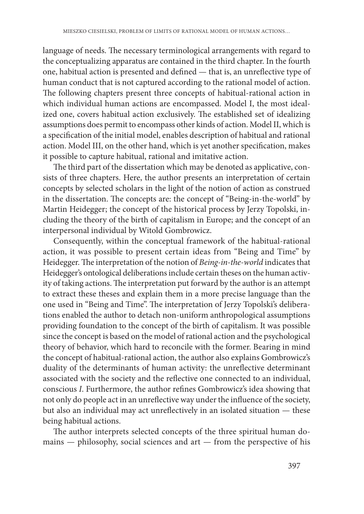language of needs. The necessary terminological arrangements with regard to the conceptualizing apparatus are contained in the third chapter. In the fourth one, habitual action is presented and defined — that is, an unreflective type of human conduct that is not captured according to the rational model of action. The following chapters present three concepts of habitual-rational action in which individual human actions are encompassed. Model I, the most idealized one, covers habitual action exclusively. The established set of idealizing assumptions does permit to encompass other kinds of action. Model II, which is a specification of the initial model, enables description of habitual and rational action. Model III, on the other hand, which is yet another specification, makes it possible to capture habitual, rational and imitative action.

The third part of the dissertation which may be denoted as applicative, consists of three chapters. Here, the author presents an interpretation of certain concepts by selected scholars in the light of the notion of action as construed in the dissertation. The concepts are: the concept of "Being-in-the-world" by Martin Heidegger; the concept of the historical process by Jerzy Topolski, including the theory of the birth of capitalism in Europe; and the concept of an interpersonal individual by Witold Gombrowicz.

Consequently, within the conceptual framework of the habitual-rational action, it was possible to present certain ideas from "Being and Time" by Heidegger. The interpretation of the notion of *Being-in-the-world* indicates that Heidegger's ontological deliberations include certain theses on the human activity of taking actions. The interpretation put forward by the author is an attempt to extract these theses and explain them in a more precise language than the one used in "Being and Time". The interpretation of Jerzy Topolski's deliberations enabled the author to detach non-uniform anthropological assumptions providing foundation to the concept of the birth of capitalism. It was possible since the concept is based on the model of rational action and the psychological theory of behavior, which hard to reconcile with the former. Bearing in mind the concept of habitual-rational action, the author also explains Gombrowicz's duality of the determinants of human activity: the unreflective determinant associated with the society and the reflective one connected to an individual, conscious *I*. Furthermore, the author refines Gombrowicz's idea showing that not only do people act in an unreflective way under the influence of the society, but also an individual may act unreflectively in an isolated situation - these being habitual actions.

The author interprets selected concepts of the three spiritual human domains — philosophy, social sciences and art — from the perspective of his